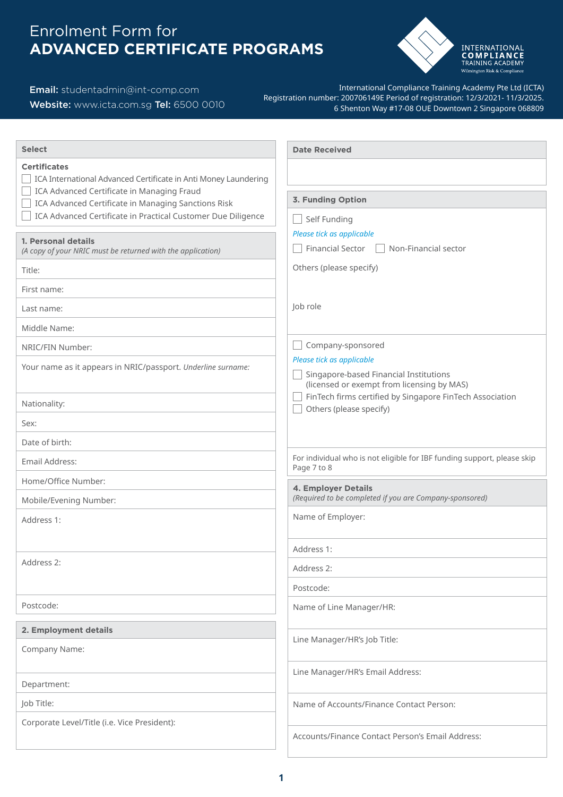# Enrolment Form for **ADVANCED CERTIFICATE PROGRAMS**



### Email: [studentadmin@int-comp.com](mailto:studentadmin%40int-comp.com%20?subject=)

### Website: [www.icta.com.sg](http://www.icta.com.sg) Tel: 6500 0010

International Compliance Training Academy Pte Ltd (ICTA) Registration number: 200706149E Period of registration: 12/3/2021- 11/3/2025. 6 Shenton Way #17-08 OUE Downtown 2 Singapore 068809

| <b>Date Received</b>                                                                   |
|----------------------------------------------------------------------------------------|
|                                                                                        |
|                                                                                        |
| 3. Funding Option                                                                      |
| Self Funding<br>Please tick as applicable                                              |
| <b>Financial Sector</b><br>Non-Financial sector                                        |
| Others (please specify)                                                                |
|                                                                                        |
| Job role                                                                               |
|                                                                                        |
| Company-sponsored                                                                      |
| Please tick as applicable                                                              |
| Singapore-based Financial Institutions<br>(licensed or exempt from licensing by MAS)   |
| FinTech firms certified by Singapore FinTech Association<br>Others (please specify)    |
|                                                                                        |
|                                                                                        |
| For individual who is not eligible for IBF funding support, please skip<br>Page 7 to 8 |
| 4. Employer Details                                                                    |
| (Required to be completed if you are Company-sponsored)                                |
| Name of Employer:                                                                      |
| Address 1:                                                                             |
| Address 2:                                                                             |
| Postcode:                                                                              |
| Name of Line Manager/HR:                                                               |
|                                                                                        |
| Line Manager/HR's Job Title:                                                           |
|                                                                                        |
| Line Manager/HR's Email Address:                                                       |
| Name of Accounts/Finance Contact Person:                                               |
|                                                                                        |
| Accounts/Finance Contact Person's Email Address:                                       |
|                                                                                        |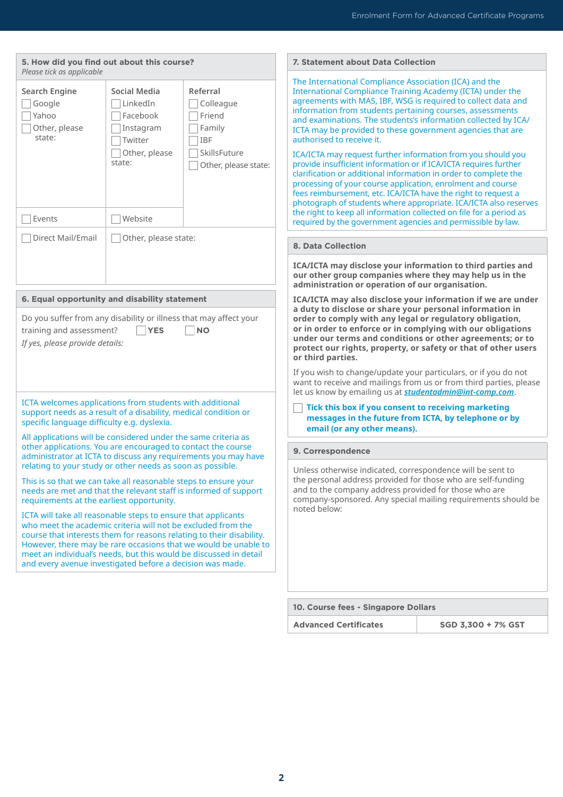| 5. How did you find out about this course?<br>Please tick as applicable                                                                                                                                                                                                                                                                 |                                                                                                    |                                                                                                 | 7. Statement about Data Colleo                                                                                                                                                                                                                                                                                                                                                                                                                                                                                                                                   |
|-----------------------------------------------------------------------------------------------------------------------------------------------------------------------------------------------------------------------------------------------------------------------------------------------------------------------------------------|----------------------------------------------------------------------------------------------------|-------------------------------------------------------------------------------------------------|------------------------------------------------------------------------------------------------------------------------------------------------------------------------------------------------------------------------------------------------------------------------------------------------------------------------------------------------------------------------------------------------------------------------------------------------------------------------------------------------------------------------------------------------------------------|
| Search Engine<br>Google<br>Yahoo<br>Other, please<br>state:<br>Events                                                                                                                                                                                                                                                                   | Social Media<br>LinkedIn<br>Facebook<br>Instagram<br>Twitter<br>Other, please<br>state:<br>Website | Referral<br>Colleague<br>Friend<br>Family<br><b>IBF</b><br>SkillsFuture<br>Other, please state: | The International Compliance As:<br><b>International Compliance Trainin</b><br>agreements with MAS, IBF, WSG i<br>information from students pertai<br>and examinations. The students's<br>ICTA may be provided to these go<br>authorised to receive it.<br>ICA/ICTA may request further info<br>provide insufficient information o<br>clarification or additional informa<br>processing of your course applica<br>fees reimbursement, etc. ICA/ICT/<br>photograph of students where ap<br>the right to keep all information c<br>required by the government agen |
| Direct Mail/Email                                                                                                                                                                                                                                                                                                                       | Other, please state:                                                                               |                                                                                                 |                                                                                                                                                                                                                                                                                                                                                                                                                                                                                                                                                                  |
|                                                                                                                                                                                                                                                                                                                                         |                                                                                                    |                                                                                                 | <b>8. Data Collection</b>                                                                                                                                                                                                                                                                                                                                                                                                                                                                                                                                        |
|                                                                                                                                                                                                                                                                                                                                         |                                                                                                    |                                                                                                 | <b>ICA/ICTA may disclose your info</b><br>our other group companies wh<br>administration or operation of                                                                                                                                                                                                                                                                                                                                                                                                                                                         |
| 6. Equal opportunity and disability statement<br>Do you suffer from any disability or illness that may affect your<br>training and assessment?<br>If yes, please provide details:                                                                                                                                                       | <b>YES</b>                                                                                         | <b>NO</b>                                                                                       | <b>ICA/ICTA may also disclose you</b><br>a duty to disclose or share you<br>order to comply with any legal<br>or in order to enforce or in con<br>under our terms and conditior<br>protect our rights, property, o<br>or third parties.<br>If you wish to change/update you                                                                                                                                                                                                                                                                                      |
|                                                                                                                                                                                                                                                                                                                                         |                                                                                                    |                                                                                                 | want to receive and mailings fror<br>let us know by emailing us at stu                                                                                                                                                                                                                                                                                                                                                                                                                                                                                           |
| ICTA welcomes applications from students with additional<br>support needs as a result of a disability, medical condition or<br>specific language difficulty e.g. dyslexia.<br>All applications will be considered under the same criteria as                                                                                            |                                                                                                    |                                                                                                 | Tick this box if you consent<br>messages in the future fron<br>email (or any other means).                                                                                                                                                                                                                                                                                                                                                                                                                                                                       |
| other applications. You are encouraged to contact the course<br>administrator at ICTA to discuss any requirements you may have                                                                                                                                                                                                          |                                                                                                    |                                                                                                 | 9. Correspondence                                                                                                                                                                                                                                                                                                                                                                                                                                                                                                                                                |
| relating to your study or other needs as soon as possible.<br>This is so that we can take all reasonable steps to ensure your<br>needs are met and that the relevant staff is informed of support<br>requirements at the earliest opportunity.                                                                                          |                                                                                                    |                                                                                                 | Unless otherwise indicated, corre<br>the personal address provided fo<br>and to the company address pro<br>company-sponsored. Any special                                                                                                                                                                                                                                                                                                                                                                                                                        |
| ICTA will take all reasonable steps to ensure that applicants<br>who meet the academic criteria will not be excluded from the<br>course that interests them for reasons relating to their disability.<br>meet an individual's needs, but this would be discussed in detail<br>and every avenue investigated before a decision was made. |                                                                                                    | However, there may be rare occasions that we would be unable to                                 | noted below:                                                                                                                                                                                                                                                                                                                                                                                                                                                                                                                                                     |
|                                                                                                                                                                                                                                                                                                                                         |                                                                                                    |                                                                                                 |                                                                                                                                                                                                                                                                                                                                                                                                                                                                                                                                                                  |

#### *<u>Iection</u>*

Association (ICA) and the ing Academy (ICTA) under the G is required to collect data and taining courses, assessments ts's information collected by ICA/ government agencies that are

Iformation from you should you or if ICA/ICTA requires further  $n$ ation in order to complete the  $i$ cation, enrolment and course fees reight to request at  $CTA$  have the right to request at appropriate. ICA/ICTA also reserves  $\overline{\textbf{r}}$  collected on file for a period as  $\rho$ encies and permissible by law.

**ICO/ICCTA may only information to third parties and** where they may help us in the of our organisation.

**I** our information if we are under **a duty to disclose or share your personal information in order to comply with any legal or regulatory obligation, omplying with our obligations under our our terms in the conditions or to protect of that of other users** 

your particulars, or if you do not om us or from third parties, please let us know by emailing us at *<studentadmin@int-comp.com>*.

 **Tick this box if you consent to receiving marketing meshim ICTA, by telephone or by** 

orrespondence will be sent to for those who are self-funding rovided for those who are cial mailing requirements should be

**10. Course fees - Singapore Dollars**

**Advanced Certificates SGD 3,300 + 7% GST**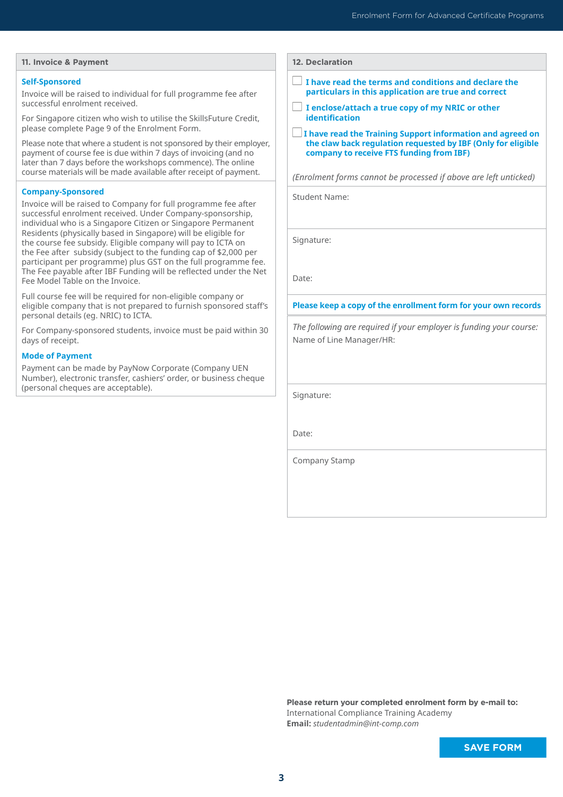#### **11. Invoice & Payment**

#### **Self-Sponsored**

Invoice will be raised to individual for full programme fee after successful enrolment received.

For Singapore citizen who wish to utilise the SkillsFuture Credit, please complete Page 9 of the Enrolment Form.

Please note that where a student is not sponsored by their employer, payment of course fee is due within 7 days of invoicing (and no later than 7 days before the workshops commence). The online course materials will be made available after receipt of payment.

#### **Company-Sponsored**

Invoice will be raised to Company for full programme fee after successful enrolment received. Under Company-sponsorship, individual who is a Singapore Citizen or Singapore Permanent Residents (physically based in Singapore) will be eligible for the course fee subsidy. Eligible company will pay to ICTA on the Fee after subsidy (subject to the funding cap of \$2,000 per participant per programme) plus GST on the full programme fee. The Fee payable after IBF Funding will be reflected under the Net Fee Model Table on the Invoice.

Full course fee will be required for non-eligible company or eligible company that is not prepared to furnish sponsored staff's personal details (eg. NRIC) to ICTA.

For Company-sponsored students, invoice must be paid within 30 days of receipt.

#### **Mode of Payment**

Payment can be made by PayNow Corporate (Company UEN Number), electronic transfer, cashiers' order, or business cheque (personal cheques are acceptable).

| <b>12. Declaration</b> |  |
|------------------------|--|
|------------------------|--|

- $\Box$  I have read the terms and conditions and declare the **particulars in this application are true and correct**
- **I enclose/attach a true copy of my NRIC or other identification**
- $\Box$  I have read the Training Support information and agreed on **the claw back regulation requested by IBF (Only for eligible company to receive FTS funding from IBF)**

*(Enrolment forms cannot be processed if above are left unticked)*

Student Name:

Signature:

Date:

#### **Please keep a copy of the enrollment form for your own records**

*The following are required if your employer is funding your course:* Name of Line Manager/HR:

Signature:

Date:

Company Stamp

**Please return your completed enrolment form by e-mail to:** International Compliance Training Academy **Email:** *[studentadmin@int-comp.com](mailto:studentadmin%40int-comp.com?subject=)*

**SAVE FORM**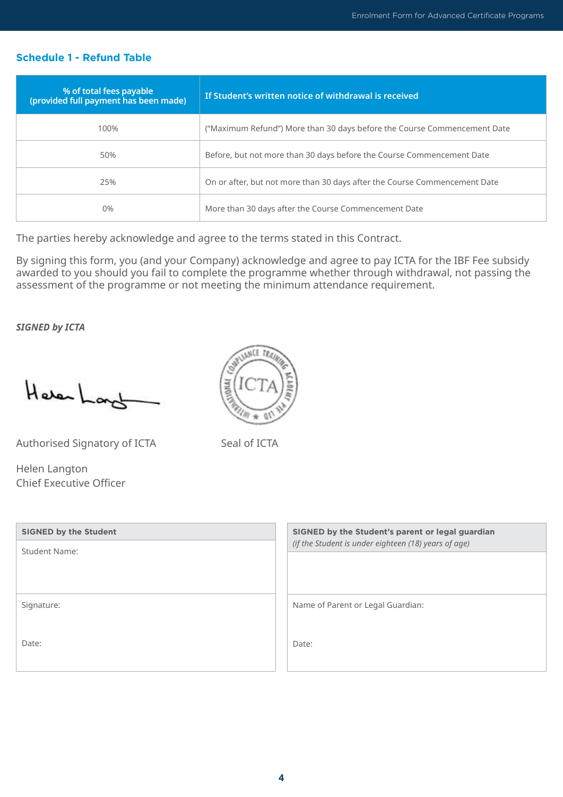### **Schedule 1 - Refund Table**

| % of total fees payable<br>(provided full payment has been made) | If Student's written notice of withdrawal is received                     |
|------------------------------------------------------------------|---------------------------------------------------------------------------|
| 100%                                                             | ("Maximum Refund") More than 30 days before the Course Commencement Date  |
| 50%                                                              | Before, but not more than 30 days before the Course Commencement Date     |
| 25%                                                              | On or after, but not more than 30 days after the Course Commencement Date |
| 0%                                                               | More than 30 days after the Course Commencement Date                      |

The parties hereby acknowledge and agree to the terms stated in this Contract.

By signing this form, you (and your Company) acknowledge and agree to pay ICTA for the IBF Fee subsidy awarded to you should you fail to complete the programme whether through withdrawal, not passing the assessment of the programme or not meeting the minimum attendance requirement.

*SIGNED by ICTA* 

Heren Long

Authorised Signatory of ICTA

Helen Langton Chief Executive Officer

| ۳а |
|----|
|    |
|    |
|    |

Seal of ICTA

| <b>SIGNED by the Student</b><br><b>Student Name:</b> | SIGNED by the Student's parent or legal guardian<br>(if the Student is under eighteen (18) years of age) |
|------------------------------------------------------|----------------------------------------------------------------------------------------------------------|
|                                                      |                                                                                                          |
| Signature:                                           | Name of Parent or Legal Guardian:                                                                        |
|                                                      |                                                                                                          |
| Date:                                                | Date:                                                                                                    |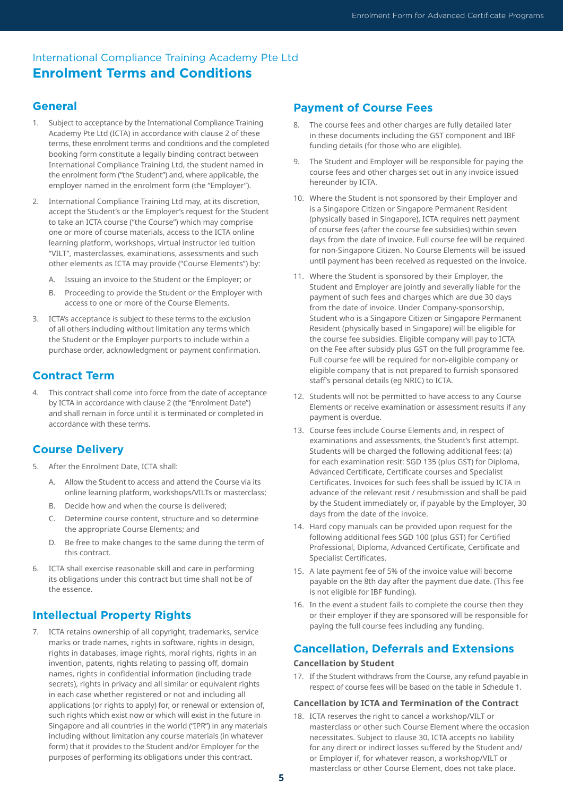## International Compliance Training Academy Pte Ltd **Enrolment Terms and Conditions**

### **General**

- 1. Subject to acceptance by the International Compliance Training Academy Pte Ltd (ICTA) in accordance with clause 2 of these terms, these enrolment terms and conditions and the completed booking form constitute a legally binding contract between International Compliance Training Ltd, the student named in the enrolment form ("the Student") and, where applicable, the employer named in the enrolment form (the "Employer").
- 2. International Compliance Training Ltd may, at its discretion, accept the Student's or the Employer's request for the Student to take an ICTA course ("the Course") which may comprise one or more of course materials, access to the ICTA online learning platform, workshops, virtual instructor led tuition "VILT", masterclasses, examinations, assessments and such other elements as ICTA may provide ("Course Elements") by:
	- A. Issuing an invoice to the Student or the Employer; or
	- B. Proceeding to provide the Student or the Employer with access to one or more of the Course Elements.
- 3. ICTA's acceptance is subject to these terms to the exclusion of all others including without limitation any terms which the Student or the Employer purports to include within a purchase order, acknowledgment or payment confirmation.

### **Contract Term**

4. This contract shall come into force from the date of acceptance by ICTA in accordance with clause 2 (the "Enrolment Date") and shall remain in force until it is terminated or completed in accordance with these terms.

### **Course Delivery**

- 5. After the Enrolment Date, ICTA shall:
	- A. Allow the Student to access and attend the Course via its online learning platform, workshops/VILTs or masterclass;
	- B. Decide how and when the course is delivered;
	- C. Determine course content, structure and so determine the appropriate Course Elements; and
	- D. Be free to make changes to the same during the term of this contract.
- 6. ICTA shall exercise reasonable skill and care in performing its obligations under this contract but time shall not be of the essence.

### **Intellectual Property Rights**

7. ICTA retains ownership of all copyright, trademarks, service marks or trade names, rights in software, rights in design, rights in databases, image rights, moral rights, rights in an invention, patents, rights relating to passing off, domain names, rights in confidential information (including trade secrets), rights in privacy and all similar or equivalent rights in each case whether registered or not and including all applications (or rights to apply) for, or renewal or extension of, such rights which exist now or which will exist in the future in Singapore and all countries in the world ("IPR") in any materials including without limitation any course materials (in whatever form) that it provides to the Student and/or Employer for the purposes of performing its obligations under this contract.

### **Payment of Course Fees**

- 8. The course fees and other charges are fully detailed later in these documents including the GST component and IBF funding details (for those who are eligible).
- 9. The Student and Employer will be responsible for paying the course fees and other charges set out in any invoice issued hereunder by ICTA.
- 10. Where the Student is not sponsored by their Employer and is a Singapore Citizen or Singapore Permanent Resident (physically based in Singapore), ICTA requires nett payment of course fees (after the course fee subsidies) within seven days from the date of invoice. Full course fee will be required for non-Singapore Citizen. No Course Elements will be issued until payment has been received as requested on the invoice.
- 11. Where the Student is sponsored by their Employer, the Student and Employer are jointly and severally liable for the payment of such fees and charges which are due 30 days from the date of invoice. Under Company-sponsorship, Student who is a Singapore Citizen or Singapore Permanent Resident (physically based in Singapore) will be eligible for the course fee subsidies. Eligible company will pay to ICTA on the Fee after subsidy plus GST on the full programme fee. Full course fee will be required for non-eligible company or eligible company that is not prepared to furnish sponsored staff's personal details (eg NRIC) to ICTA.
- 12. Students will not be permitted to have access to any Course Elements or receive examination or assessment results if any payment is overdue.
- 13. Course fees include Course Elements and, in respect of examinations and assessments, the Student's first attempt. Students will be charged the following additional fees: (a) for each examination resit: SGD 135 (plus GST) for Diploma, Advanced Certificate, Certificate courses and Specialist Certificates. Invoices for such fees shall be issued by ICTA in advance of the relevant resit / resubmission and shall be paid by the Student immediately or, if payable by the Employer, 30 days from the date of the invoice.
- 14. Hard copy manuals can be provided upon request for the following additional fees SGD 100 (plus GST) for Certified Professional, Diploma, Advanced Certificate, Certificate and Specialist Certificates.
- 15. A late payment fee of 5% of the invoice value will become payable on the 8th day after the payment due date. (This fee is not eligible for IBF funding).
- 16. In the event a student fails to complete the course then they or their employer if they are sponsored will be responsible for paying the full course fees including any funding.

### **Cancellation, Deferrals and Extensions**

#### **Cancellation by Student**

17. If the Student withdraws from the Course, any refund payable in respect of course fees will be based on the table in Schedule 1.

#### **Cancellation by ICTA and Termination of the Contract**

18. ICTA reserves the right to cancel a workshop/VILT or masterclass or other such Course Element where the occasion necessitates. Subject to clause 30, ICTA accepts no liability for any direct or indirect losses suffered by the Student and/ or Employer if, for whatever reason, a workshop/VILT or masterclass or other Course Element, does not take place.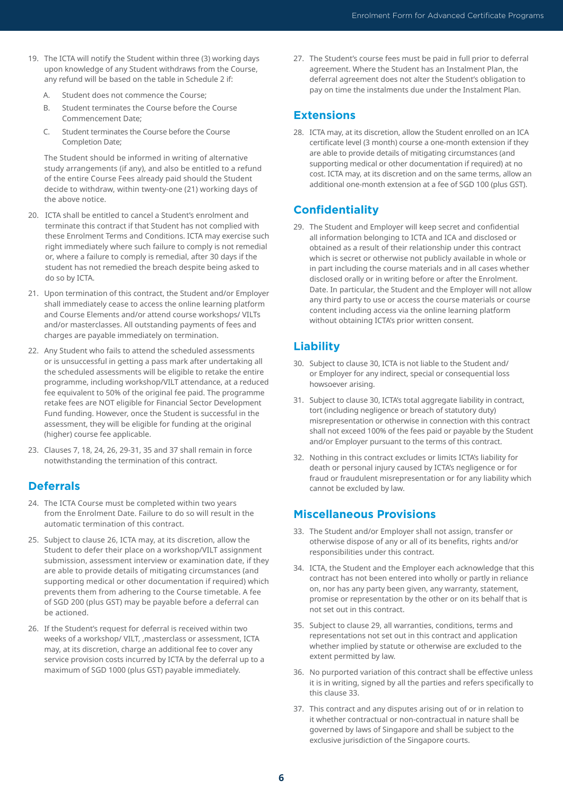- 19. The ICTA will notify the Student within three (3) working days upon knowledge of any Student withdraws from the Course, any refund will be based on the table in Schedule 2 if:
	- A. Student does not commence the Course;
	- B. Student terminates the Course before the Course Commencement Date;
	- C. Student terminates the Course before the Course Completion Date;

The Student should be informed in writing of alternative study arrangements (if any), and also be entitled to a refund of the entire Course Fees already paid should the Student decide to withdraw, within twenty-one (21) working days of the above notice.

- 20. ICTA shall be entitled to cancel a Student's enrolment and terminate this contract if that Student has not complied with these Enrolment Terms and Conditions. ICTA may exercise such right immediately where such failure to comply is not remedial or, where a failure to comply is remedial, after 30 days if the student has not remedied the breach despite being asked to do so by ICTA.
- 21. Upon termination of this contract, the Student and/or Employer shall immediately cease to access the online learning platform and Course Elements and/or attend course workshops/ VILTs and/or masterclasses. All outstanding payments of fees and charges are payable immediately on termination.
- 22. Any Student who fails to attend the scheduled assessments or is unsuccessful in getting a pass mark after undertaking all the scheduled assessments will be eligible to retake the entire programme, including workshop/VILT attendance, at a reduced fee equivalent to 50% of the original fee paid. The programme retake fees are NOT eligible for Financial Sector Development Fund funding. However, once the Student is successful in the assessment, they will be eligible for funding at the original (higher) course fee applicable.
- 23. Clauses 7, 18, 24, 26, 29-31, 35 and 37 shall remain in force notwithstanding the termination of this contract.

## **Deferrals**

- 24. The ICTA Course must be completed within two years from the Enrolment Date. Failure to do so will result in the automatic termination of this contract.
- 25. Subject to clause 26, ICTA may, at its discretion, allow the Student to defer their place on a workshop/VILT assignment submission, assessment interview or examination date, if they are able to provide details of mitigating circumstances (and supporting medical or other documentation if required) which prevents them from adhering to the Course timetable. A fee of SGD 200 (plus GST) may be payable before a deferral can be actioned.
- 26. If the Student's request for deferral is received within two weeks of a workshop/ VILT, ,masterclass or assessment, ICTA may, at its discretion, charge an additional fee to cover any service provision costs incurred by ICTA by the deferral up to a maximum of SGD 1000 (plus GST) payable immediately.

27. The Student's course fees must be paid in full prior to deferral agreement. Where the Student has an Instalment Plan, the deferral agreement does not alter the Student's obligation to pay on time the instalments due under the Instalment Plan.

### **Extensions**

28. ICTA may, at its discretion, allow the Student enrolled on an ICA certificate level (3 month) course a one-month extension if they are able to provide details of mitigating circumstances (and supporting medical or other documentation if required) at no cost. ICTA may, at its discretion and on the same terms, allow an additional one-month extension at a fee of SGD 100 (plus GST).

## **Confidentiality**

29. The Student and Employer will keep secret and confidential all information belonging to ICTA and ICA and disclosed or obtained as a result of their relationship under this contract which is secret or otherwise not publicly available in whole or in part including the course materials and in all cases whether disclosed orally or in writing before or after the Enrolment. Date. In particular, the Student and the Employer will not allow any third party to use or access the course materials or course content including access via the online learning platform without obtaining ICTA's prior written consent.

## **Liability**

- 30. Subject to clause 30, ICTA is not liable to the Student and/ or Employer for any indirect, special or consequential loss howsoever arising.
- 31. Subject to clause 30, ICTA's total aggregate liability in contract, tort (including negligence or breach of statutory duty) misrepresentation or otherwise in connection with this contract shall not exceed 100% of the fees paid or payable by the Student and/or Employer pursuant to the terms of this contract.
- 32. Nothing in this contract excludes or limits ICTA's liability for death or personal injury caused by ICTA's negligence or for fraud or fraudulent misrepresentation or for any liability which cannot be excluded by law.

## **Miscellaneous Provisions**

- 33. The Student and/or Employer shall not assign, transfer or otherwise dispose of any or all of its benefits, rights and/or responsibilities under this contract.
- 34. ICTA, the Student and the Employer each acknowledge that this contract has not been entered into wholly or partly in reliance on, nor has any party been given, any warranty, statement, promise or representation by the other or on its behalf that is not set out in this contract.
- 35. Subject to clause 29, all warranties, conditions, terms and representations not set out in this contract and application whether implied by statute or otherwise are excluded to the extent permitted by law.
- 36. No purported variation of this contract shall be effective unless it is in writing, signed by all the parties and refers specifically to this clause 33.
- 37. This contract and any disputes arising out of or in relation to it whether contractual or non-contractual in nature shall be governed by laws of Singapore and shall be subject to the exclusive jurisdiction of the Singapore courts.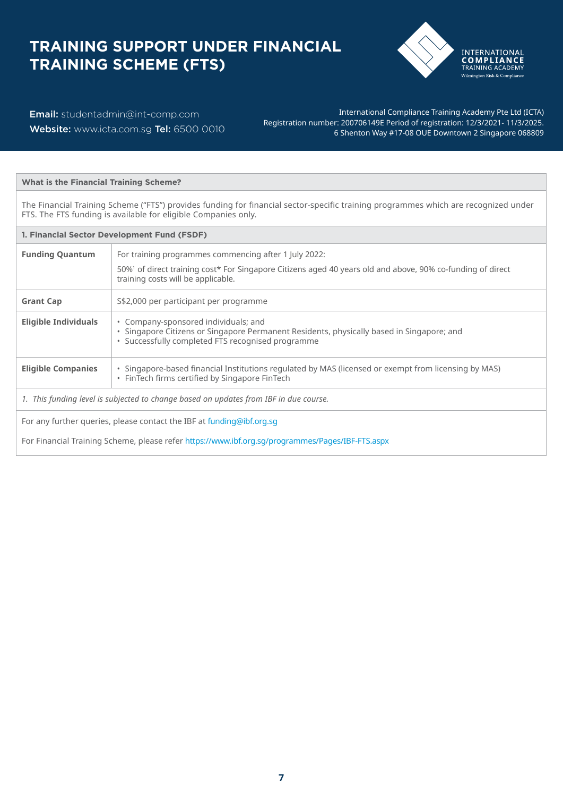# **TRAINING SUPPORT UNDER FINANCIAL TRAINING SCHEME (FTS)**



Email: studentadmin@int-comp.com Website: [www.icta.com.sg](http://www.icta.com.sg) Tel: 6500 0010

International Compliance Training Academy Pte Ltd (ICTA) Registration number: 200706149E Period of registration: 12/3/2021- 11/3/2025. 6 Shenton Way #17-08 OUE Downtown 2 Singapore 068809

#### **What is the Financial Training Scheme?**

The Financial Training Scheme ("FTS") provides funding for financial sector-specific training programmes which are recognized under FTS. The FTS funding is available for eligible Companies only.

| 1. Financial Sector Development Fund (FSDF) |                                                                                                                                                                                                                       |  |
|---------------------------------------------|-----------------------------------------------------------------------------------------------------------------------------------------------------------------------------------------------------------------------|--|
| <b>Funding Quantum</b>                      | For training programmes commencing after 1 July 2022:<br>50% <sup>1</sup> of direct training cost* For Singapore Citizens aged 40 years old and above, 90% co-funding of direct<br>training costs will be applicable. |  |
| <b>Grant Cap</b>                            | S\$2,000 per participant per programme                                                                                                                                                                                |  |
| Eligible Individuals                        | • Company-sponsored individuals; and<br>• Singapore Citizens or Singapore Permanent Residents, physically based in Singapore; and<br>• Successfully completed FTS recognised programme                                |  |
| <b>Eligible Companies</b>                   | . Singapore-based financial Institutions regulated by MAS (licensed or exempt from licensing by MAS)<br>• FinTech firms certified by Singapore FinTech                                                                |  |
|                                             | 1. This funding level is subjected to change based on updates from IBF in due course.                                                                                                                                 |  |
|                                             | For any further queries, please contact the IBF at funding@ibf.org.sg<br>For Financial Training Scheme, please refer https://www.ibf.org.sg/programmes/Pages/IBF-FTS.aspx                                             |  |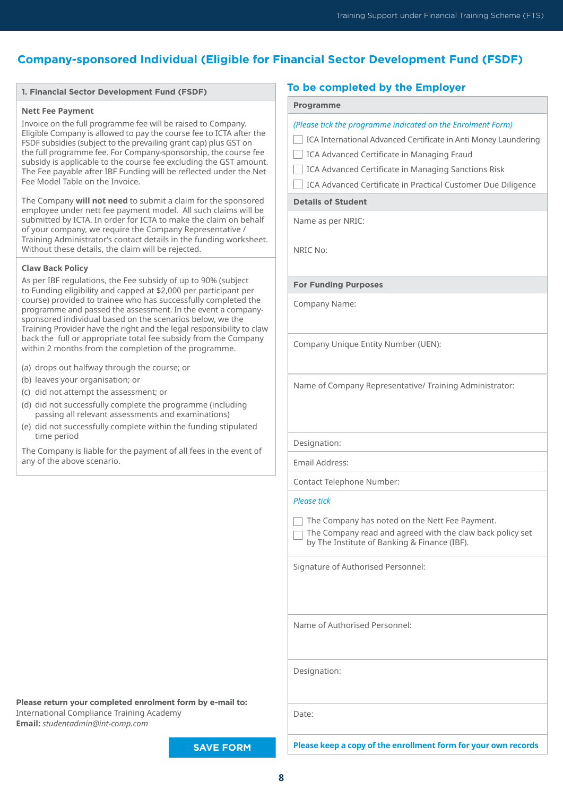## **Company-sponsored Individual (Eligible for Financial Sector Development Fund (FSDF)**

#### **1. Financial Sector Development Fund (FSDF)**

#### **Nett Fee Payment**

Invoice on the full programme fee will be raised to Company. Eligible Company is allowed to pay the course fee to ICTA after the FSDF subsidies (subject to the prevailing grant cap) plus GST on the full programme fee. For Company-sponsorship, the course fee subsidy is applicable to the course fee excluding the GST amount. The Fee payable after IBF Funding will be reflected under the Net Fee Model Table on the Invoice.

The Company **will not need** to submit a claim for the sponsored employee under nett fee payment model. All such claims will be submitted by ICTA. In order for ICTA to make the claim on behalf of your company, we require the Company Representative / Training Administrator's contact details in the funding worksheet. Without these details, the claim will be rejected.

#### **Claw Back Policy**

As per IBF regulations, the Fee subsidy of up to 90% (subject to Funding eligibility and capped at \$2,000 per participant per course) provided to trainee who has successfully completed the programme and passed the assessment. In the event a companysponsored individual based on the scenarios below, we the Training Provider have the right and the legal responsibility to claw back the full or appropriate total fee subsidy from the Company within 2 months from the completion of the programme.

- (a) drops out halfway through the course; or
- (b) leaves your organisation; or
- (c) did not attempt the assessment; or
- (d) did not successfully complete the programme (including passing all relevant assessments and examinations)
- (e) did not successfully complete within the funding stipulated time period

The Company is liable for the payment of all fees in the event of any of the above scenario.

### **To be completed by the Employer**

#### **Programme**

| (Please tick the programme indicated on the Enrolment Form)                                               |
|-----------------------------------------------------------------------------------------------------------|
| ICA International Advanced Certificate in Anti Money Laundering                                           |
| ICA Advanced Certificate in Managing Fraud                                                                |
| ICA Advanced Certificate in Managing Sanctions Risk                                                       |
| ICA Advanced Certificate in Practical Customer Due Diligence                                              |
| <b>Details of Student</b>                                                                                 |
| Name as per NRIC:                                                                                         |
| NRIC No:                                                                                                  |
| <b>For Funding Purposes</b>                                                                               |
| Company Name:                                                                                             |
| Company Unique Entity Number (UEN):                                                                       |
| Name of Company Representative/ Training Administrator:                                                   |
| Designation:                                                                                              |
| Email Address:                                                                                            |
| <b>Contact Telephone Number:</b>                                                                          |
| <b>Please tick</b>                                                                                        |
| The Company has noted on the Nett Fee Payment.<br>The Company read and careed with the download neligiate |

 $\Box$  The Company read and agreed with the claw back policy set by The Institute of Banking & Finance (IBF).

Signature of Authorised Personnel:

Name of Authorised Personnel:

Designation:

Date:

**Please return your completed enrolment form by e-mail to:** International Compliance Training Academy **Email:** *[studentadmin@int-comp.com](mailto:studentadmin%40int-comp.com?subject=)*

**SAVE FORM**

**Please keep a copy of the enrollment form for your own records**